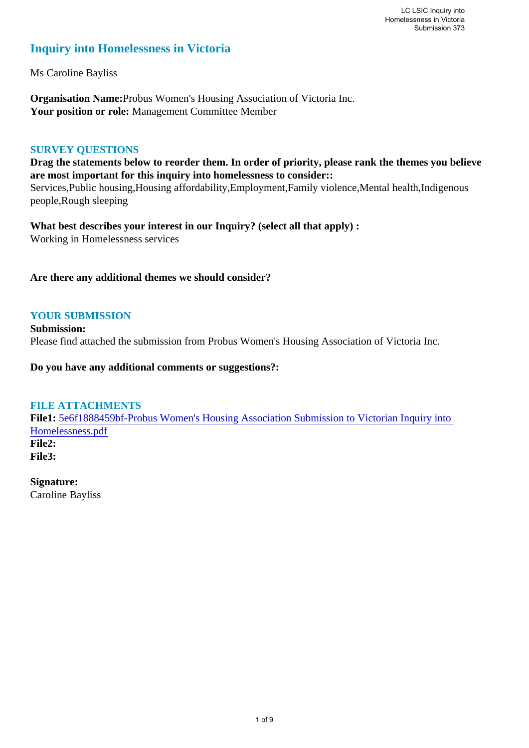# **Inquiry into Homelessness in Victoria**

Ms Caroline Bayliss

**Organisation Name:**Probus Women's Housing Association of Victoria Inc. **Your position or role:** Management Committee Member

#### **SURVEY QUESTIONS**

**Drag the statements below to reorder them. In order of priority, please rank the themes you believe are most important for this inquiry into homelessness to consider::** 

Services,Public housing,Housing affordability,Employment,Family violence,Mental health,Indigenous people,Rough sleeping

**What best describes your interest in our Inquiry? (select all that apply) :**  Working in Homelessness services

#### **Are there any additional themes we should consider?**

# **YOUR SUBMISSION**

**Submission:**  Please find attached the submission from Probus Women's Housing Association of Victoria Inc.

**Do you have any additional comments or suggestions?:** 

## **FILE ATTACHMENTS**

**File1:** [5e6f1888459bf-Probus Women's Housing Association Submission to Victorian Inquiry into](https://www.parliament.vic.gov.au/component/rsform/submission-view-file/5124771ea742cb47a8ec57c197245998/6b404f60a0ccbfc20c1a91747cb74027?Itemid=463)  [Homelessness.pdf](https://www.parliament.vic.gov.au/component/rsform/submission-view-file/5124771ea742cb47a8ec57c197245998/6b404f60a0ccbfc20c1a91747cb74027?Itemid=463) **File2: File3:** 

**Signature:** Caroline Bayliss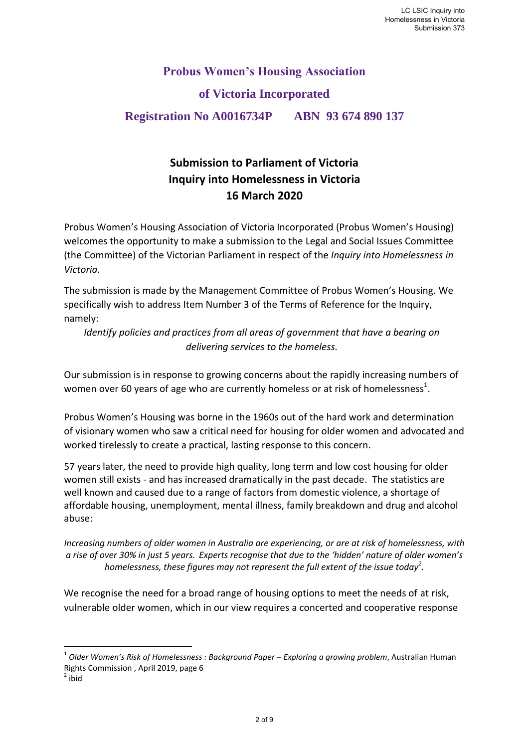# **Probus Women's Housing Association of Victoria Incorporated Registration No A0016734P ABN 93 674 890 137**

# **Submission to Parliament of Victoria Inquiry into Homelessness in Victoria 16 March 2020**

Probus Women's Housing Association of Victoria Incorporated (Probus Women's Housing) welcomes the opportunity to make a submission to the Legal and Social Issues Committee (the Committee) of the Victorian Parliament in respect of the *Inquiry into Homelessness in Victoria.* 

The submission is made by the Management Committee of Probus Women's Housing. We specifically wish to address Item Number 3 of the Terms of Reference for the Inquiry, namely:

*Identify policies and practices from all areas of government that have a bearing on delivering services to the homeless.* 

Our submission is in response to growing concerns about the rapidly increasing numbers of women over 60 years of age who are currently homeless or at risk of homelessness<sup>1</sup>.

Probus Women's Housing was borne in the 1960s out of the hard work and determination of visionary women who saw a critical need for housing for older women and advocated and worked tirelessly to create a practical, lasting response to this concern.

57 years later, the need to provide high quality, long term and low cost housing for older women still exists - and has increased dramatically in the past decade. The statistics are well known and caused due to a range of factors from domestic violence, a shortage of affordable housing, unemployment, mental illness, family breakdown and drug and alcohol abuse:

*Increasing numbers of older women in Australia are experiencing, or are at risk of homelessness, with a rise of over 30% in just 5 years. Experts recognise that due to the 'hidden' nature of older women's homelessness, these figures may not represent the full extent of the issue today<sup>2</sup> .*

We recognise the need for a broad range of housing options to meet the needs of at risk, vulnerable older women, which in our view requires a concerted and cooperative response

**.** 

<sup>&</sup>lt;sup>1</sup> Older Women's Risk of Homelessness : Background Paper – Exploring a growing problem, Australian Human Rights Commission , April 2019, page 6

 $2$  ibid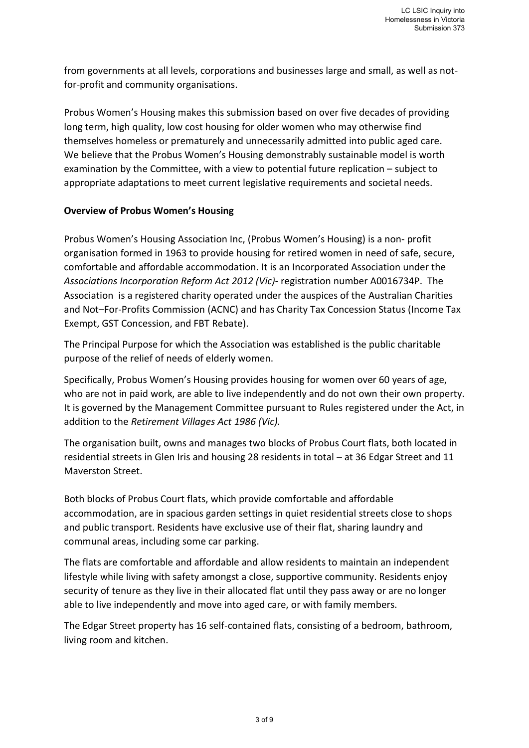from governments at all levels, corporations and businesses large and small, as well as notfor-profit and community organisations.

Probus Women's Housing makes this submission based on over five decades of providing long term, high quality, low cost housing for older women who may otherwise find themselves homeless or prematurely and unnecessarily admitted into public aged care. We believe that the Probus Women's Housing demonstrably sustainable model is worth examination by the Committee, with a view to potential future replication – subject to appropriate adaptations to meet current legislative requirements and societal needs.

#### **Overview of Probus Women's Housing**

Probus Women's Housing Association Inc, (Probus Women's Housing) is a non- profit organisation formed in 1963 to provide housing for retired women in need of safe, secure, comfortable and affordable accommodation. It is an Incorporated Association under the *Associations Incorporation Reform Act 2012 (Vic)-* registration number A0016734P.The Association is a registered charity operated under the auspices of the Australian Charities and Not–For-Profits Commission (ACNC) and has Charity Tax Concession Status (Income Tax Exempt, GST Concession, and FBT Rebate).

The Principal Purpose for which the Association was established is the public charitable purpose of the relief of needs of elderly women.

Specifically, Probus Women's Housing provides housing for women over 60 years of age, who are not in paid work, are able to live independently and do not own their own property. It is governed by the Management Committee pursuant to Rules registered under the Act, in addition to the *Retirement Villages Act 1986 (Vic).*

The organisation built, owns and manages two blocks of Probus Court flats, both located in residential streets in Glen Iris and housing 28 residents in total – at 36 Edgar Street and 11 Maverston Street.

Both blocks of Probus Court flats, which provide comfortable and affordable accommodation, are in spacious garden settings in quiet residential streets close to shops and public transport. Residents have exclusive use of their flat, sharing laundry and communal areas, including some car parking.

The flats are comfortable and affordable and allow residents to maintain an independent lifestyle while living with safety amongst a close, supportive community. Residents enjoy security of tenure as they live in their allocated flat until they pass away or are no longer able to live independently and move into aged care, or with family members.

The Edgar Street property has 16 self-contained flats, consisting of a bedroom, bathroom, living room and kitchen.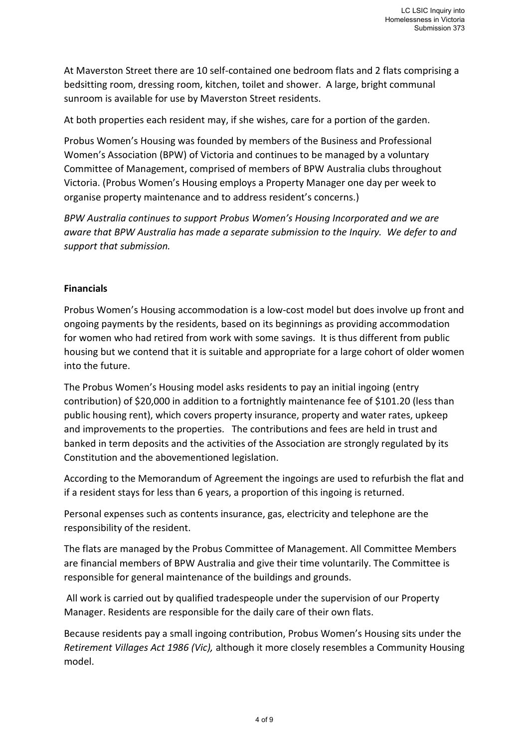At Maverston Street there are 10 self-contained one bedroom flats and 2 flats comprising a bedsitting room, dressing room, kitchen, toilet and shower. A large, bright communal sunroom is available for use by Maverston Street residents.

At both properties each resident may, if she wishes, care for a portion of the garden.

Probus Women's Housing was founded by members of the Business and Professional Women's Association (BPW) of Victoria and continues to be managed by a voluntary Committee of Management, comprised of members of BPW Australia clubs throughout Victoria. (Probus Women's Housing employs a Property Manager one day per week to organise property maintenance and to address resident's concerns.)

*BPW Australia continues to support Probus Women's Housing Incorporated and we are aware that BPW Australia has made a separate submission to the Inquiry. We defer to and support that submission.* 

# **Financials**

Probus Women's Housing accommodation is a low-cost model but does involve up front and ongoing payments by the residents, based on its beginnings as providing accommodation for women who had retired from work with some savings. It is thus different from public housing but we contend that it is suitable and appropriate for a large cohort of older women into the future.

The Probus Women's Housing model asks residents to pay an initial ingoing (entry contribution) of \$20,000 in addition to a fortnightly maintenance fee of \$101.20 (less than public housing rent), which covers property insurance, property and water rates, upkeep and improvements to the properties. The contributions and fees are held in trust and banked in term deposits and the activities of the Association are strongly regulated by its Constitution and the abovementioned legislation.

According to the Memorandum of Agreement the ingoings are used to refurbish the flat and if a resident stays for less than 6 years, a proportion of this ingoing is returned.

Personal expenses such as contents insurance, gas, electricity and telephone are the responsibility of the resident.

The flats are managed by the Probus Committee of Management. All Committee Members are financial members of BPW Australia and give their time voluntarily. The Committee is responsible for general maintenance of the buildings and grounds.

 All work is carried out by qualified tradespeople under the supervision of our Property Manager. Residents are responsible for the daily care of their own flats.

Because residents pay a small ingoing contribution, Probus Women's Housing sits under the *Retirement Villages Act 1986 (Vic),* although it more closely resembles a Community Housing model.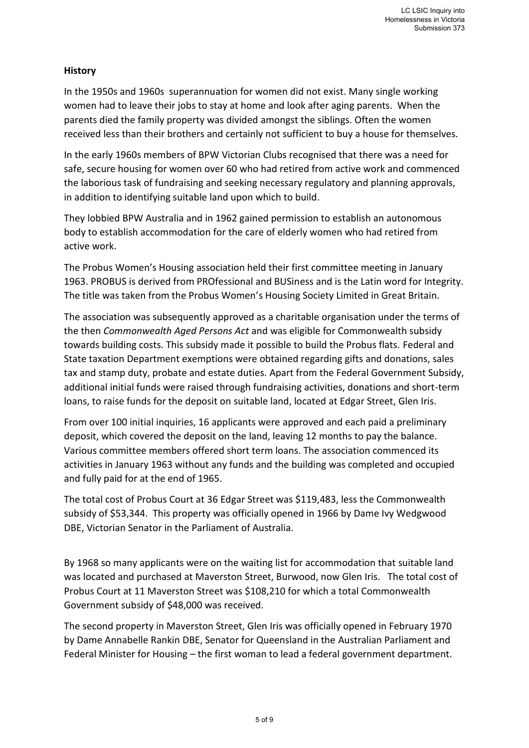# **History**

In the 1950s and 1960s superannuation for women did not exist. Many single working women had to leave their jobs to stay at home and look after aging parents. When the parents died the family property was divided amongst the siblings. Often the women received less than their brothers and certainly not sufficient to buy a house for themselves.

In the early 1960s members of BPW Victorian Clubs recognised that there was a need for safe, secure housing for women over 60 who had retired from active work and commenced the laborious task of fundraising and seeking necessary regulatory and planning approvals, in addition to identifying suitable land upon which to build.

They lobbied BPW Australia and in 1962 gained permission to establish an autonomous body to establish accommodation for the care of elderly women who had retired from active work.

The Probus Women's Housing association held their first committee meeting in January 1963. PROBUS is derived from PROfessional and BUSiness and is the Latin word for Integrity. The title was taken from the Probus Women's Housing Society Limited in Great Britain.

The association was subsequently approved as a charitable organisation under the terms of the then *Commonwealth Aged Persons Act* and was eligible for Commonwealth subsidy towards building costs. This subsidy made it possible to build the Probus flats. Federal and State taxation Department exemptions were obtained regarding gifts and donations, sales tax and stamp duty, probate and estate duties. Apart from the Federal Government Subsidy, additional initial funds were raised through fundraising activities, donations and short-term loans, to raise funds for the deposit on suitable land, located at Edgar Street, Glen Iris.

From over 100 initial inquiries, 16 applicants were approved and each paid a preliminary deposit, which covered the deposit on the land, leaving 12 months to pay the balance. Various committee members offered short term loans. The association commenced its activities in January 1963 without any funds and the building was completed and occupied and fully paid for at the end of 1965.

The total cost of Probus Court at 36 Edgar Street was \$119,483, less the Commonwealth subsidy of \$53,344. This property was officially opened in 1966 by Dame Ivy Wedgwood DBE, Victorian Senator in the Parliament of Australia.

By 1968 so many applicants were on the waiting list for accommodation that suitable land was located and purchased at Maverston Street, Burwood, now Glen Iris. The total cost of Probus Court at 11 Maverston Street was \$108,210 for which a total Commonwealth Government subsidy of \$48,000 was received.

The second property in Maverston Street, Glen Iris was officially opened in February 1970 by Dame Annabelle Rankin DBE, Senator for Queensland in the Australian Parliament and Federal Minister for Housing – the first woman to lead a federal government department.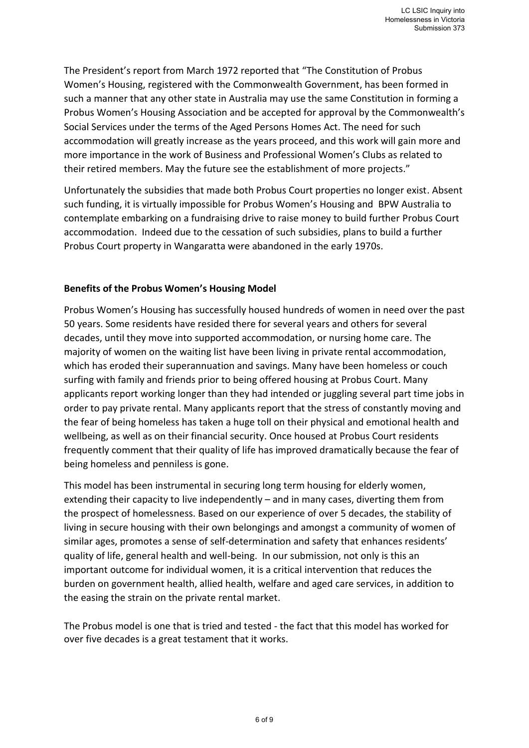The President's report from March 1972 reported that "The Constitution of Probus Women's Housing, registered with the Commonwealth Government, has been formed in such a manner that any other state in Australia may use the same Constitution in forming a Probus Women's Housing Association and be accepted for approval by the Commonwealth's Social Services under the terms of the Aged Persons Homes Act. The need for such accommodation will greatly increase as the years proceed, and this work will gain more and more importance in the work of Business and Professional Women's Clubs as related to their retired members. May the future see the establishment of more projects."

Unfortunately the subsidies that made both Probus Court properties no longer exist. Absent such funding, it is virtually impossible for Probus Women's Housing and BPW Australia to contemplate embarking on a fundraising drive to raise money to build further Probus Court accommodation. Indeed due to the cessation of such subsidies, plans to build a further Probus Court property in Wangaratta were abandoned in the early 1970s.

## **Benefits of the Probus Women's Housing Model**

Probus Women's Housing has successfully housed hundreds of women in need over the past 50 years. Some residents have resided there for several years and others for several decades, until they move into supported accommodation, or nursing home care. The majority of women on the waiting list have been living in private rental accommodation, which has eroded their superannuation and savings. Many have been homeless or couch surfing with family and friends prior to being offered housing at Probus Court. Many applicants report working longer than they had intended or juggling several part time jobs in order to pay private rental. Many applicants report that the stress of constantly moving and the fear of being homeless has taken a huge toll on their physical and emotional health and wellbeing, as well as on their financial security. Once housed at Probus Court residents frequently comment that their quality of life has improved dramatically because the fear of being homeless and penniless is gone.

This model has been instrumental in securing long term housing for elderly women, extending their capacity to live independently – and in many cases, diverting them from the prospect of homelessness. Based on our experience of over 5 decades, the stability of living in secure housing with their own belongings and amongst a community of women of similar ages, promotes a sense of self-determination and safety that enhances residents' quality of life, general health and well-being. In our submission, not only is this an important outcome for individual women, it is a critical intervention that reduces the burden on government health, allied health, welfare and aged care services, in addition to the easing the strain on the private rental market.

The Probus model is one that is tried and tested - the fact that this model has worked for over five decades is a great testament that it works.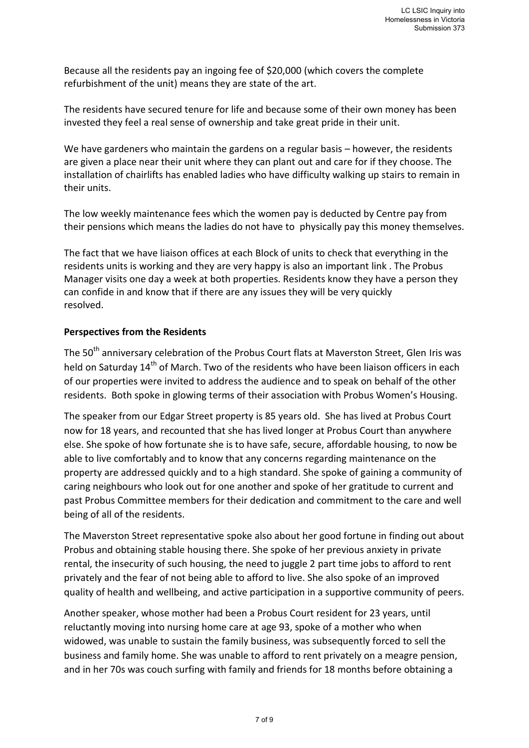Because all the residents pay an ingoing fee of \$20,000 (which covers the complete refurbishment of the unit) means they are state of the art.

The residents have secured tenure for life and because some of their own money has been invested they feel a real sense of ownership and take great pride in their unit.

We have gardeners who maintain the gardens on a regular basis – however, the residents are given a place near their unit where they can plant out and care for if they choose. The installation of chairlifts has enabled ladies who have difficulty walking up stairs to remain in their units.

The low weekly maintenance fees which the women pay is deducted by Centre pay from their pensions which means the ladies do not have to physically pay this money themselves.

The fact that we have liaison offices at each Block of units to check that everything in the residents units is working and they are very happy is also an important link . The Probus Manager visits one day a week at both properties. Residents know they have a person they can confide in and know that if there are any issues they will be very quickly resolved.

## **Perspectives from the Residents**

The 50<sup>th</sup> anniversary celebration of the Probus Court flats at Maverston Street, Glen Iris was held on Saturday 14<sup>th</sup> of March. Two of the residents who have been liaison officers in each of our properties were invited to address the audience and to speak on behalf of the other residents. Both spoke in glowing terms of their association with Probus Women's Housing.

The speaker from our Edgar Street property is 85 years old. She has lived at Probus Court now for 18 years, and recounted that she has lived longer at Probus Court than anywhere else. She spoke of how fortunate she is to have safe, secure, affordable housing, to now be able to live comfortably and to know that any concerns regarding maintenance on the property are addressed quickly and to a high standard. She spoke of gaining a community of caring neighbours who look out for one another and spoke of her gratitude to current and past Probus Committee members for their dedication and commitment to the care and well being of all of the residents.

The Maverston Street representative spoke also about her good fortune in finding out about Probus and obtaining stable housing there. She spoke of her previous anxiety in private rental, the insecurity of such housing, the need to juggle 2 part time jobs to afford to rent privately and the fear of not being able to afford to live. She also spoke of an improved quality of health and wellbeing, and active participation in a supportive community of peers.

Another speaker, whose mother had been a Probus Court resident for 23 years, until reluctantly moving into nursing home care at age 93, spoke of a mother who when widowed, was unable to sustain the family business, was subsequently forced to sell the business and family home. She was unable to afford to rent privately on a meagre pension, and in her 70s was couch surfing with family and friends for 18 months before obtaining a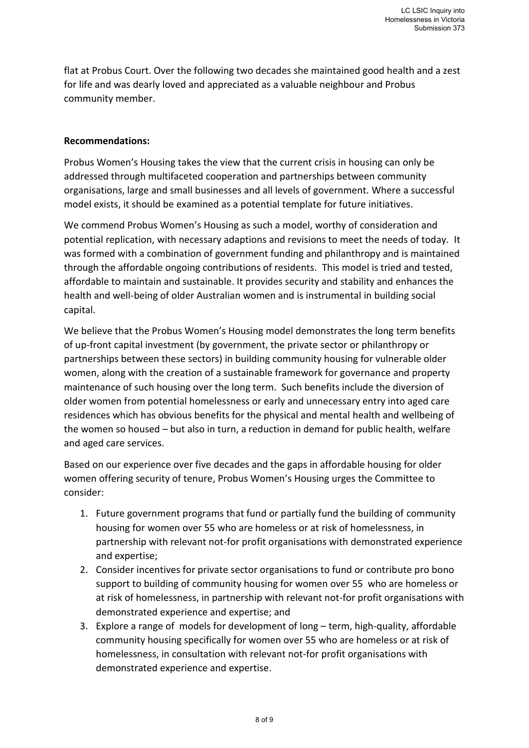flat at Probus Court. Over the following two decades she maintained good health and a zest for life and was dearly loved and appreciated as a valuable neighbour and Probus community member.

#### **Recommendations:**

Probus Women's Housing takes the view that the current crisis in housing can only be addressed through multifaceted cooperation and partnerships between community organisations, large and small businesses and all levels of government. Where a successful model exists, it should be examined as a potential template for future initiatives.

We commend Probus Women's Housing as such a model, worthy of consideration and potential replication, with necessary adaptions and revisions to meet the needs of today. It was formed with a combination of government funding and philanthropy and is maintained through the affordable ongoing contributions of residents. This model is tried and tested, affordable to maintain and sustainable. It provides security and stability and enhances the health and well-being of older Australian women and is instrumental in building social capital.

We believe that the Probus Women's Housing model demonstrates the long term benefits of up-front capital investment (by government, the private sector or philanthropy or partnerships between these sectors) in building community housing for vulnerable older women, along with the creation of a sustainable framework for governance and property maintenance of such housing over the long term. Such benefits include the diversion of older women from potential homelessness or early and unnecessary entry into aged care residences which has obvious benefits for the physical and mental health and wellbeing of the women so housed – but also in turn, a reduction in demand for public health, welfare and aged care services.

Based on our experience over five decades and the gaps in affordable housing for older women offering security of tenure, Probus Women's Housing urges the Committee to consider:

- 1. Future government programs that fund or partially fund the building of community housing for women over 55 who are homeless or at risk of homelessness, in partnership with relevant not-for profit organisations with demonstrated experience and expertise;
- 2. Consider incentives for private sector organisations to fund or contribute pro bono support to building of community housing for women over 55 who are homeless or at risk of homelessness, in partnership with relevant not-for profit organisations with demonstrated experience and expertise; and
- 3. Explore a range of models for development of long term, high-quality, affordable community housing specifically for women over 55 who are homeless or at risk of homelessness, in consultation with relevant not-for profit organisations with demonstrated experience and expertise.